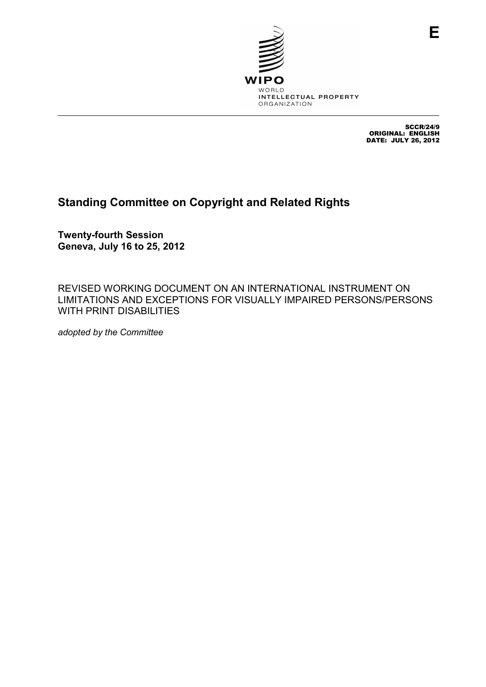

SCCR/24/9 ORIGINAL: ENGLISH DATE: JULY 26, 2012

# **Standing Committee on Copyright and Related Rights**

**Twenty-fourth Session Geneva, July 16 to 25, 2012** 

REVISED WORKING DOCUMENT ON AN INTERNATIONAL INSTRUMENT ON LIMITATIONS AND EXCEPTIONS FOR VISUALLY IMPAIRED PERSONS/PERSONS WITH PRINT DISABILITIES

*adopted by the Committee*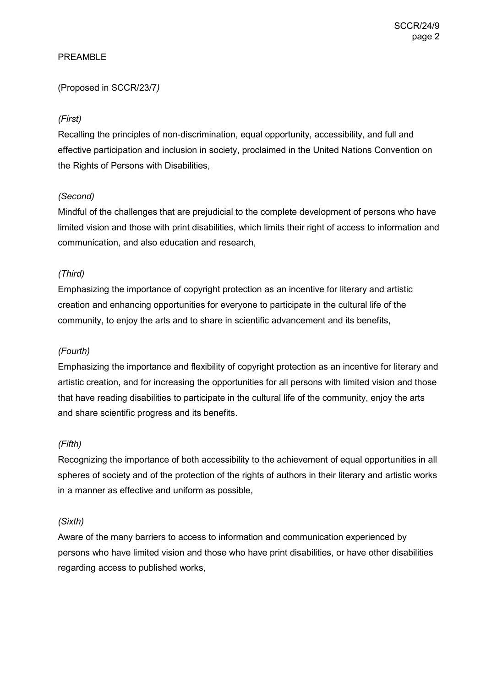#### PREAMBLE

#### (Proposed in SCCR/23/7*)*

#### *(First)*

Recalling the principles of non-discrimination, equal opportunity, accessibility, and full and effective participation and inclusion in society, proclaimed in the United Nations Convention on the Rights of Persons with Disabilities,

#### *(Second)*

Mindful of the challenges that are prejudicial to the complete development of persons who have limited vision and those with print disabilities, which limits their right of access to information and communication, and also education and research,

#### *(Third)*

Emphasizing the importance of copyright protection as an incentive for literary and artistic creation and enhancing opportunities for everyone to participate in the cultural life of the community, to enjoy the arts and to share in scientific advancement and its benefits,

#### *(Fourth)*

Emphasizing the importance and flexibility of copyright protection as an incentive for literary and artistic creation, and for increasing the opportunities for all persons with limited vision and those that have reading disabilities to participate in the cultural life of the community, enjoy the arts and share scientific progress and its benefits.

#### *(Fifth)*

Recognizing the importance of both accessibility to the achievement of equal opportunities in all spheres of society and of the protection of the rights of authors in their literary and artistic works in a manner as effective and uniform as possible,

#### *(Sixth)*

Aware of the many barriers to access to information and communication experienced by persons who have limited vision and those who have print disabilities, or have other disabilities regarding access to published works,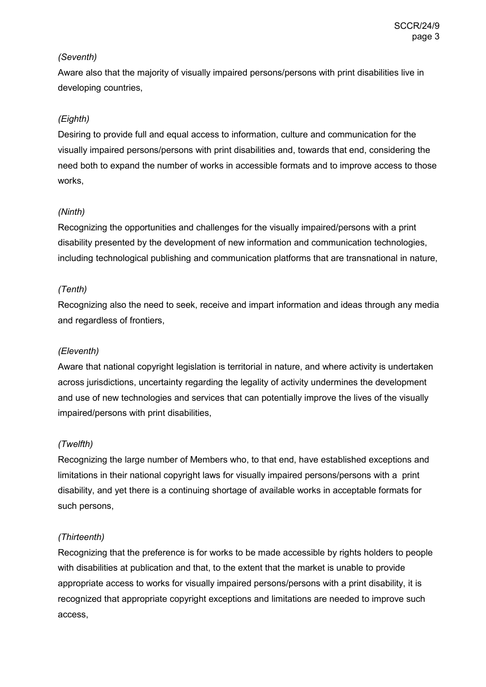#### *(Seventh)*

Aware also that the majority of visually impaired persons/persons with print disabilities live in developing countries,

#### *(Eighth)*

Desiring to provide full and equal access to information, culture and communication for the visually impaired persons/persons with print disabilities and, towards that end, considering the need both to expand the number of works in accessible formats and to improve access to those works,

#### *(Ninth)*

Recognizing the opportunities and challenges for the visually impaired/persons with a print disability presented by the development of new information and communication technologies, including technological publishing and communication platforms that are transnational in nature,

#### *(Tenth)*

Recognizing also the need to seek, receive and impart information and ideas through any media and regardless of frontiers,

#### *(Eleventh)*

Aware that national copyright legislation is territorial in nature, and where activity is undertaken across jurisdictions, uncertainty regarding the legality of activity undermines the development and use of new technologies and services that can potentially improve the lives of the visually impaired/persons with print disabilities,

#### *(Twelfth)*

Recognizing the large number of Members who, to that end, have established exceptions and limitations in their national copyright laws for visually impaired persons/persons with a print disability, and yet there is a continuing shortage of available works in acceptable formats for such persons,

#### *(Thirteenth)*

Recognizing that the preference is for works to be made accessible by rights holders to people with disabilities at publication and that, to the extent that the market is unable to provide appropriate access to works for visually impaired persons/persons with a print disability, it is recognized that appropriate copyright exceptions and limitations are needed to improve such access,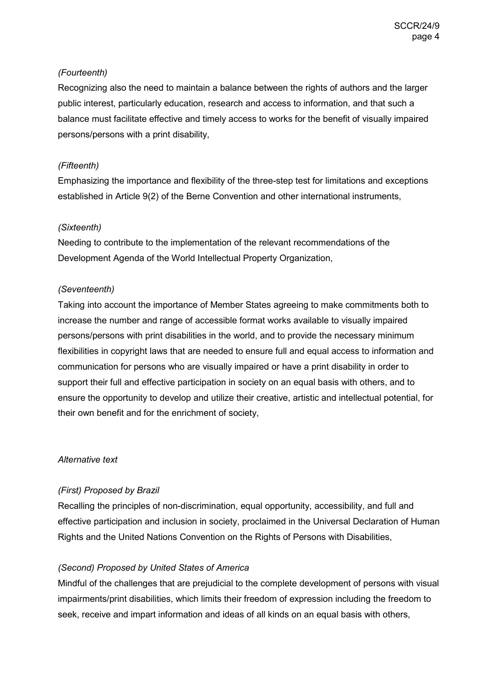#### *(Fourteenth)*

Recognizing also the need to maintain a balance between the rights of authors and the larger public interest, particularly education, research and access to information, and that such a balance must facilitate effective and timely access to works for the benefit of visually impaired persons/persons with a print disability,

#### *(Fifteenth)*

Emphasizing the importance and flexibility of the three-step test for limitations and exceptions established in Article 9(2) of the Berne Convention and other international instruments,

#### *(Sixteenth)*

Needing to contribute to the implementation of the relevant recommendations of the Development Agenda of the World Intellectual Property Organization,

#### *(Seventeenth)*

Taking into account the importance of Member States agreeing to make commitments both to increase the number and range of accessible format works available to visually impaired persons/persons with print disabilities in the world, and to provide the necessary minimum flexibilities in copyright laws that are needed to ensure full and equal access to information and communication for persons who are visually impaired or have a print disability in order to support their full and effective participation in society on an equal basis with others, and to ensure the opportunity to develop and utilize their creative, artistic and intellectual potential, for their own benefit and for the enrichment of society,

#### *Alternative text*

#### *(First) Proposed by Brazil*

Recalling the principles of non-discrimination, equal opportunity, accessibility, and full and effective participation and inclusion in society, proclaimed in the Universal Declaration of Human Rights and the United Nations Convention on the Rights of Persons with Disabilities,

#### *(Second) Proposed by United States of America*

Mindful of the challenges that are prejudicial to the complete development of persons with visual impairments/print disabilities, which limits their freedom of expression including the freedom to seek, receive and impart information and ideas of all kinds on an equal basis with others,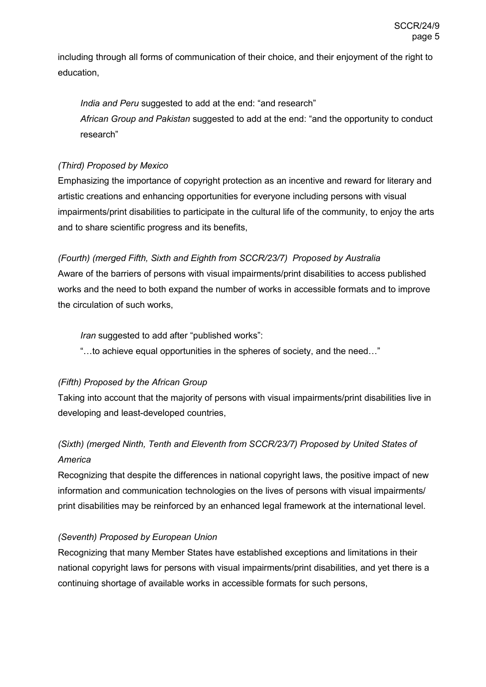including through all forms of communication of their choice, and their enjoyment of the right to education,

*India and Peru* suggested to add at the end: "and research" *African Group and Pakistan* suggested to add at the end: "and the opportunity to conduct research"

#### *(Third) Proposed by Mexico*

Emphasizing the importance of copyright protection as an incentive and reward for literary and artistic creations and enhancing opportunities for everyone including persons with visual impairments/print disabilities to participate in the cultural life of the community, to enjoy the arts and to share scientific progress and its benefits,

#### *(Fourth) (merged Fifth, Sixth and Eighth from SCCR/23/7) Proposed by Australia*

Aware of the barriers of persons with visual impairments/print disabilities to access published works and the need to both expand the number of works in accessible formats and to improve the circulation of such works,

*Iran* suggested to add after "published works":

"…to achieve equal opportunities in the spheres of society, and the need…"

#### *(Fifth) Proposed by the African Group*

Taking into account that the majority of persons with visual impairments/print disabilities live in developing and least-developed countries,

### *(Sixth) (merged Ninth, Tenth and Eleventh from SCCR/23/7) Proposed by United States of America*

Recognizing that despite the differences in national copyright laws, the positive impact of new information and communication technologies on the lives of persons with visual impairments/ print disabilities may be reinforced by an enhanced legal framework at the international level.

#### *(Seventh) Proposed by European Union*

Recognizing that many Member States have established exceptions and limitations in their national copyright laws for persons with visual impairments/print disabilities, and yet there is a continuing shortage of available works in accessible formats for such persons,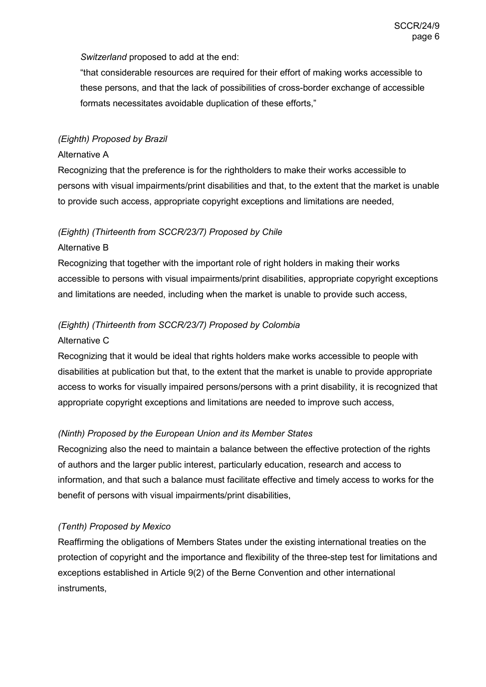*Switzerland* proposed to add at the end:

"that considerable resources are required for their effort of making works accessible to these persons, and that the lack of possibilities of cross-border exchange of accessible formats necessitates avoidable duplication of these efforts,"

#### *(Eighth) Proposed by Brazil*

#### Alternative A

Recognizing that the preference is for the rightholders to make their works accessible to persons with visual impairments/print disabilities and that, to the extent that the market is unable to provide such access, appropriate copyright exceptions and limitations are needed,

#### *(Eighth) (Thirteenth from SCCR/23/7) Proposed by Chile*

#### Alternative B

Recognizing that together with the important role of right holders in making their works accessible to persons with visual impairments/print disabilities, appropriate copyright exceptions and limitations are needed, including when the market is unable to provide such access,

#### *(Eighth) (Thirteenth from SCCR/23/7) Proposed by Colombia*

#### Alternative C

Recognizing that it would be ideal that rights holders make works accessible to people with disabilities at publication but that, to the extent that the market is unable to provide appropriate access to works for visually impaired persons/persons with a print disability, it is recognized that appropriate copyright exceptions and limitations are needed to improve such access,

#### *(Ninth) Proposed by the European Union and its Member States*

Recognizing also the need to maintain a balance between the effective protection of the rights of authors and the larger public interest, particularly education, research and access to information, and that such a balance must facilitate effective and timely access to works for the benefit of persons with visual impairments/print disabilities,

#### *(Tenth) Proposed by Mexico*

Reaffirming the obligations of Members States under the existing international treaties on the protection of copyright and the importance and flexibility of the three-step test for limitations and exceptions established in Article 9(2) of the Berne Convention and other international instruments,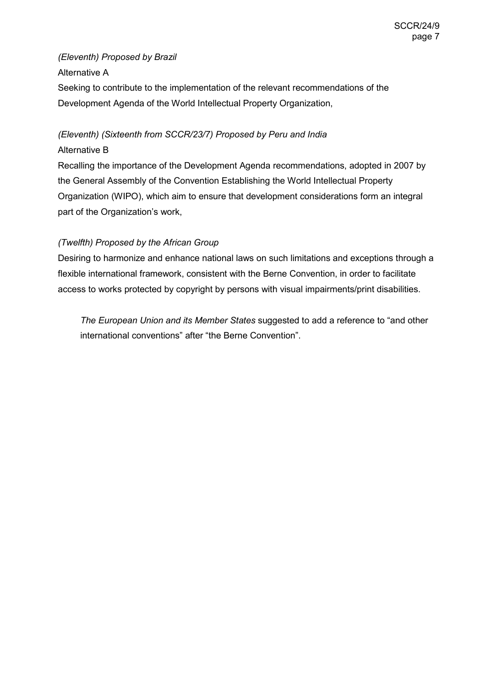#### *(Eleventh) Proposed by Brazil*

#### Alternative A

Seeking to contribute to the implementation of the relevant recommendations of the Development Agenda of the World Intellectual Property Organization,

# *(Eleventh) (Sixteenth from SCCR/23/7) Proposed by Peru and India*

#### Alternative B

Recalling the importance of the Development Agenda recommendations, adopted in 2007 by the General Assembly of the Convention Establishing the World Intellectual Property Organization (WIPO), which aim to ensure that development considerations form an integral part of the Organization's work,

#### *(Twelfth) Proposed by the African Group*

Desiring to harmonize and enhance national laws on such limitations and exceptions through a flexible international framework, consistent with the Berne Convention, in order to facilitate access to works protected by copyright by persons with visual impairments/print disabilities.

*The European Union and its Member States* suggested to add a reference to "and other international conventions" after "the Berne Convention".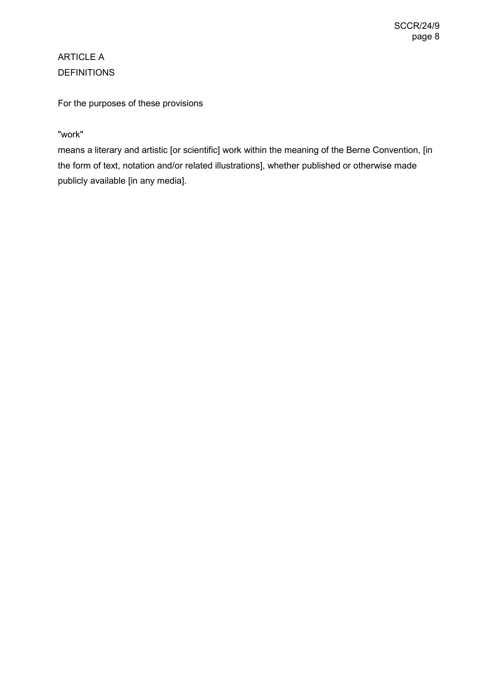# ARTICLE A DEFINITIONS

For the purposes of these provisions

#### "work"

means a literary and artistic [or scientific] work within the meaning of the Berne Convention, [in the form of text, notation and/or related illustrations], whether published or otherwise made publicly available [in any media].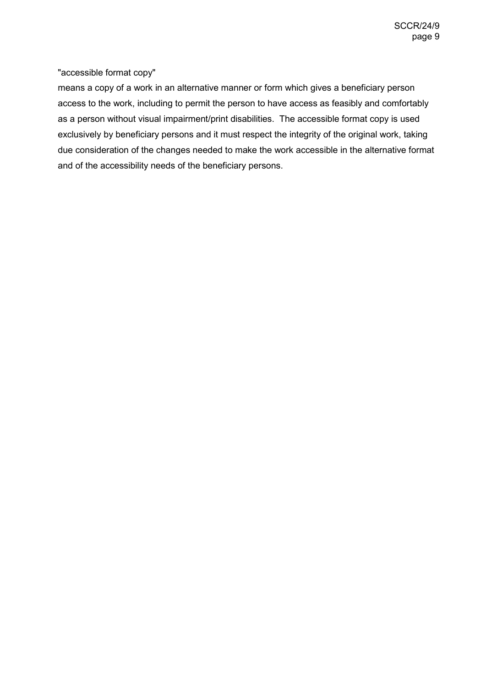"accessible format copy"

means a copy of a work in an alternative manner or form which gives a beneficiary person access to the work, including to permit the person to have access as feasibly and comfortably as a person without visual impairment/print disabilities. The accessible format copy is used exclusively by beneficiary persons and it must respect the integrity of the original work, taking due consideration of the changes needed to make the work accessible in the alternative format and of the accessibility needs of the beneficiary persons.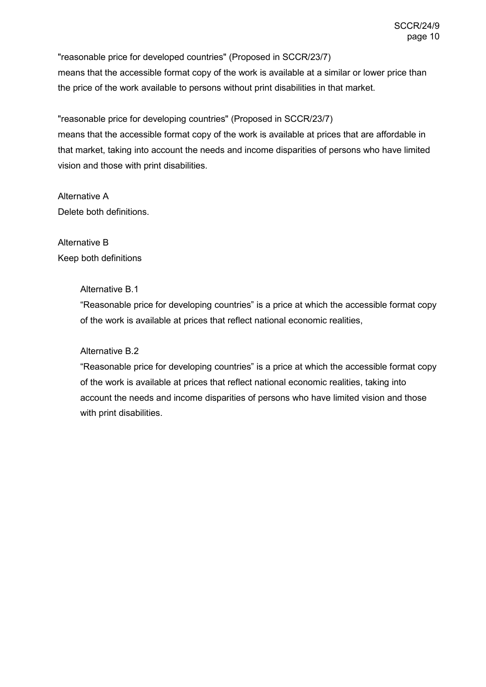"reasonable price for developed countries" (Proposed in SCCR/23/7) means that the accessible format copy of the work is available at a similar or lower price than the price of the work available to persons without print disabilities in that market.

"reasonable price for developing countries" (Proposed in SCCR/23/7) means that the accessible format copy of the work is available at prices that are affordable in that market, taking into account the needs and income disparities of persons who have limited vision and those with print disabilities.

Alternative A Delete both definitions.

Alternative B Keep both definitions

#### Alternative B.1

"Reasonable price for developing countries" is a price at which the accessible format copy of the work is available at prices that reflect national economic realities,

#### Alternative B.2

"Reasonable price for developing countries" is a price at which the accessible format copy of the work is available at prices that reflect national economic realities, taking into account the needs and income disparities of persons who have limited vision and those with print disabilities.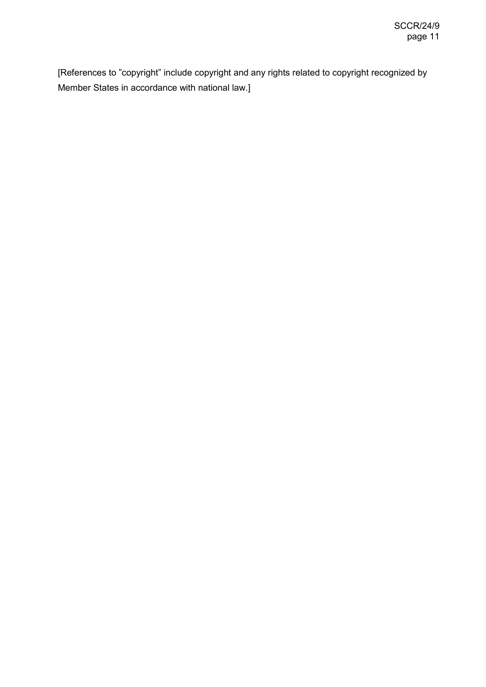[References to "copyright" include copyright and any rights related to copyright recognized by Member States in accordance with national law.]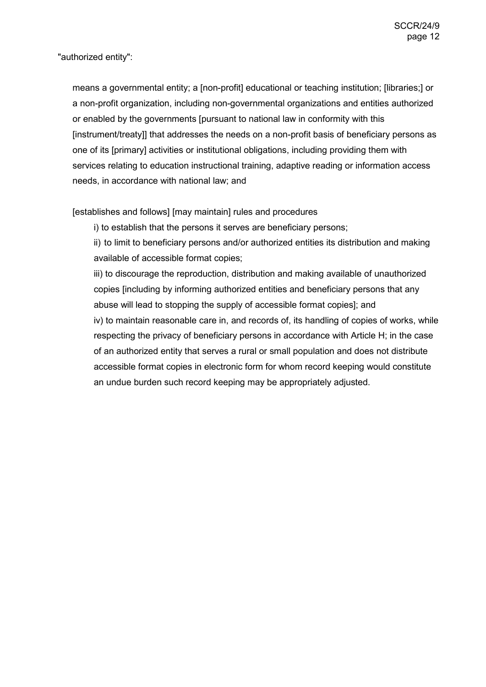"authorized entity":

means a governmental entity; a [non-profit] educational or teaching institution; [libraries;] or a non-profit organization, including non-governmental organizations and entities authorized or enabled by the governments [pursuant to national law in conformity with this [instrument/treaty]] that addresses the needs on a non-profit basis of beneficiary persons as one of its [primary] activities or institutional obligations, including providing them with services relating to education instructional training, adaptive reading or information access needs, in accordance with national law; and

[establishes and follows] [may maintain] rules and procedures

i) to establish that the persons it serves are beneficiary persons;

ii) to limit to beneficiary persons and/or authorized entities its distribution and making available of accessible format copies;

iii) to discourage the reproduction, distribution and making available of unauthorized copies [including by informing authorized entities and beneficiary persons that any abuse will lead to stopping the supply of accessible format copies]; and iv) to maintain reasonable care in, and records of, its handling of copies of works, while respecting the privacy of beneficiary persons in accordance with Article H; in the case of an authorized entity that serves a rural or small population and does not distribute accessible format copies in electronic form for whom record keeping would constitute an undue burden such record keeping may be appropriately adjusted.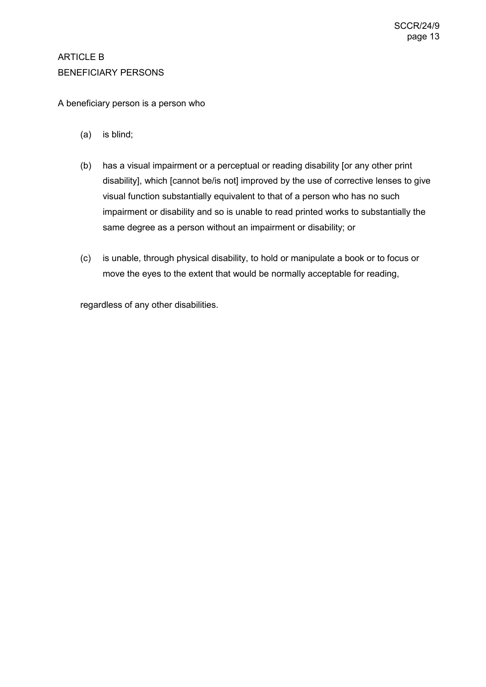### ARTICLE B BENEFICIARY PERSONS

#### A beneficiary person is a person who

- (a) is blind;
- (b) has a visual impairment or a perceptual or reading disability [or any other print disability], which [cannot be/is not] improved by the use of corrective lenses to give visual function substantially equivalent to that of a person who has no such impairment or disability and so is unable to read printed works to substantially the same degree as a person without an impairment or disability; or
- (c) is unable, through physical disability, to hold or manipulate a book or to focus or move the eyes to the extent that would be normally acceptable for reading,

regardless of any other disabilities.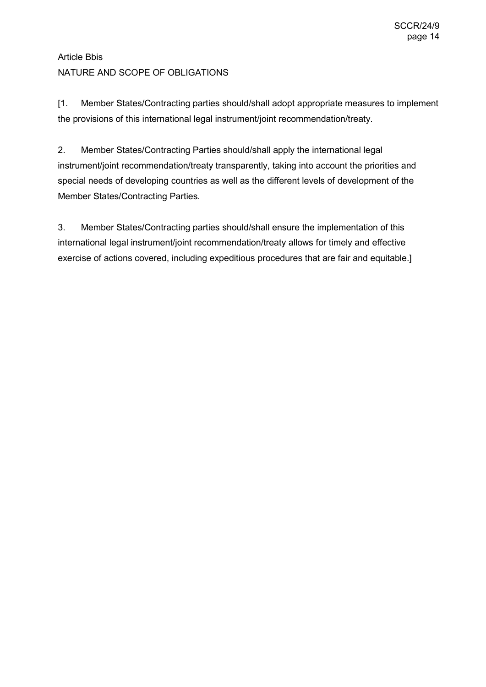# Article Bbis NATURE AND SCOPE OF OBLIGATIONS

[1. Member States/Contracting parties should/shall adopt appropriate measures to implement the provisions of this international legal instrument/joint recommendation/treaty.

2. Member States/Contracting Parties should/shall apply the international legal instrument/joint recommendation/treaty transparently, taking into account the priorities and special needs of developing countries as well as the different levels of development of the Member States/Contracting Parties.

3. Member States/Contracting parties should/shall ensure the implementation of this international legal instrument/joint recommendation/treaty allows for timely and effective exercise of actions covered, including expeditious procedures that are fair and equitable.]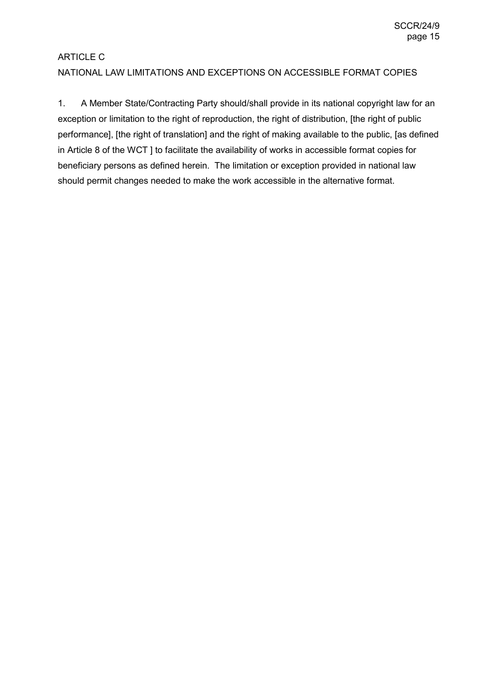# ARTICLE C NATIONAL LAW LIMITATIONS AND EXCEPTIONS ON ACCESSIBLE FORMAT COPIES

1. A Member State/Contracting Party should/shall provide in its national copyright law for an exception or limitation to the right of reproduction, the right of distribution, [the right of public performance], [the right of translation] and the right of making available to the public, [as defined in Article 8 of the WCT ] to facilitate the availability of works in accessible format copies for beneficiary persons as defined herein. The limitation or exception provided in national law should permit changes needed to make the work accessible in the alternative format.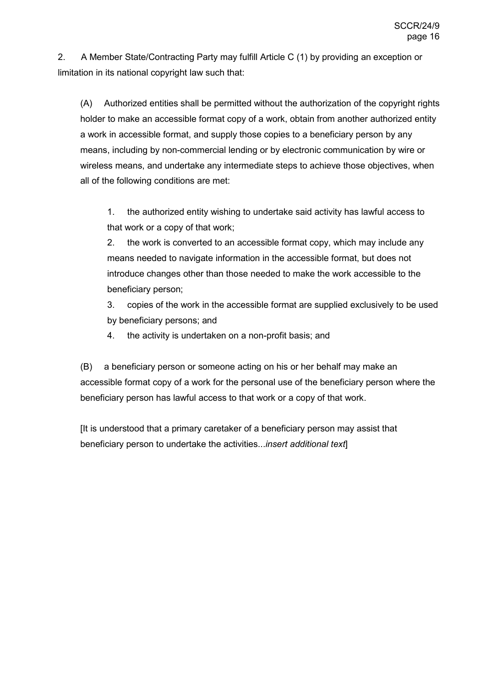2. A Member State/Contracting Party may fulfill Article C (1) by providing an exception or limitation in its national copyright law such that:

(A) Authorized entities shall be permitted without the authorization of the copyright rights holder to make an accessible format copy of a work, obtain from another authorized entity a work in accessible format, and supply those copies to a beneficiary person by any means, including by non-commercial lending or by electronic communication by wire or wireless means, and undertake any intermediate steps to achieve those objectives, when all of the following conditions are met:

1. the authorized entity wishing to undertake said activity has lawful access to that work or a copy of that work;

2. the work is converted to an accessible format copy, which may include any means needed to navigate information in the accessible format, but does not introduce changes other than those needed to make the work accessible to the beneficiary person;

3. copies of the work in the accessible format are supplied exclusively to be used by beneficiary persons; and

4. the activity is undertaken on a non-profit basis; and

(B) a beneficiary person or someone acting on his or her behalf may make an accessible format copy of a work for the personal use of the beneficiary person where the beneficiary person has lawful access to that work or a copy of that work.

[It is understood that a primary caretaker of a beneficiary person may assist that beneficiary person to undertake the activities...*insert additional text*]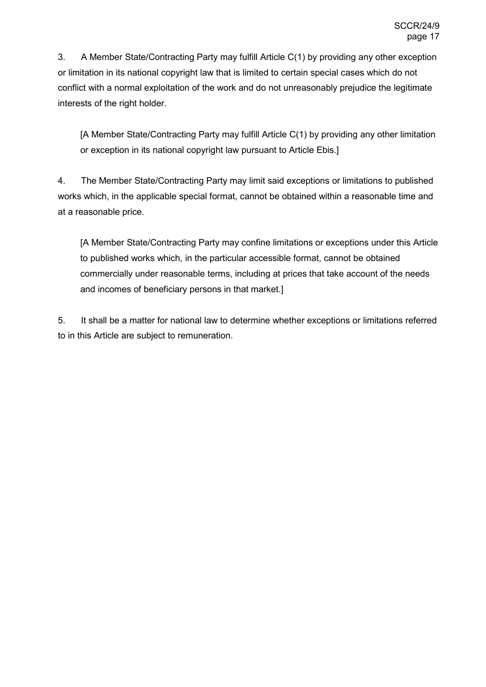3. A Member State/Contracting Party may fulfill Article C(1) by providing any other exception or limitation in its national copyright law that is limited to certain special cases which do not conflict with a normal exploitation of the work and do not unreasonably prejudice the legitimate interests of the right holder.

[A Member State/Contracting Party may fulfill Article C(1) by providing any other limitation or exception in its national copyright law pursuant to Article Ebis.]

4. The Member State/Contracting Party may limit said exceptions or limitations to published works which, in the applicable special format, cannot be obtained within a reasonable time and at a reasonable price.

[A Member State/Contracting Party may confine limitations or exceptions under this Article to published works which, in the particular accessible format, cannot be obtained commercially under reasonable terms, including at prices that take account of the needs and incomes of beneficiary persons in that market.]

5. It shall be a matter for national law to determine whether exceptions or limitations referred to in this Article are subject to remuneration.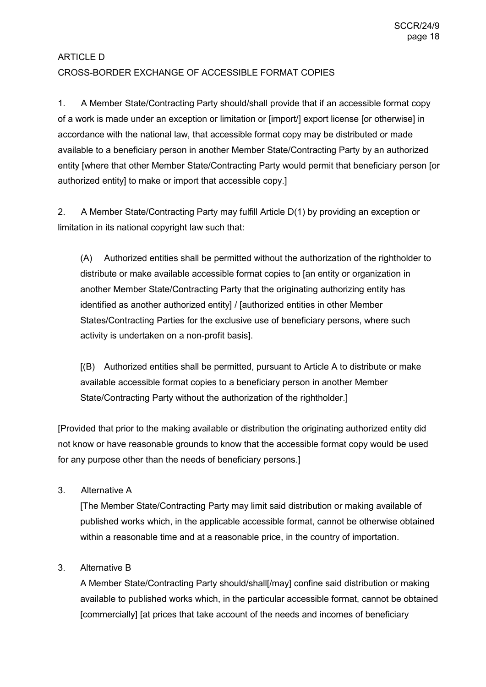# ARTICLE D CROSS-BORDER EXCHANGE OF ACCESSIBLE FORMAT COPIES

1. A Member State/Contracting Party should/shall provide that if an accessible format copy of a work is made under an exception or limitation or [import/] export license [or otherwise] in accordance with the national law, that accessible format copy may be distributed or made available to a beneficiary person in another Member State/Contracting Party by an authorized entity [where that other Member State/Contracting Party would permit that beneficiary person [or authorized entity] to make or import that accessible copy.]

2. A Member State/Contracting Party may fulfill Article D(1) by providing an exception or limitation in its national copyright law such that:

(A) Authorized entities shall be permitted without the authorization of the rightholder to distribute or make available accessible format copies to [an entity or organization in another Member State/Contracting Party that the originating authorizing entity has identified as another authorized entity] / [authorized entities in other Member States/Contracting Parties for the exclusive use of beneficiary persons, where such activity is undertaken on a non-profit basis].

[(B) Authorized entities shall be permitted, pursuant to Article A to distribute or make available accessible format copies to a beneficiary person in another Member State/Contracting Party without the authorization of the rightholder.]

[Provided that prior to the making available or distribution the originating authorized entity did not know or have reasonable grounds to know that the accessible format copy would be used for any purpose other than the needs of beneficiary persons.]

3. Alternative A

[The Member State/Contracting Party may limit said distribution or making available of published works which, in the applicable accessible format, cannot be otherwise obtained within a reasonable time and at a reasonable price, in the country of importation.

#### 3. Alternative B

A Member State/Contracting Party should/shall[/may] confine said distribution or making available to published works which, in the particular accessible format, cannot be obtained [commercially] [at prices that take account of the needs and incomes of beneficiary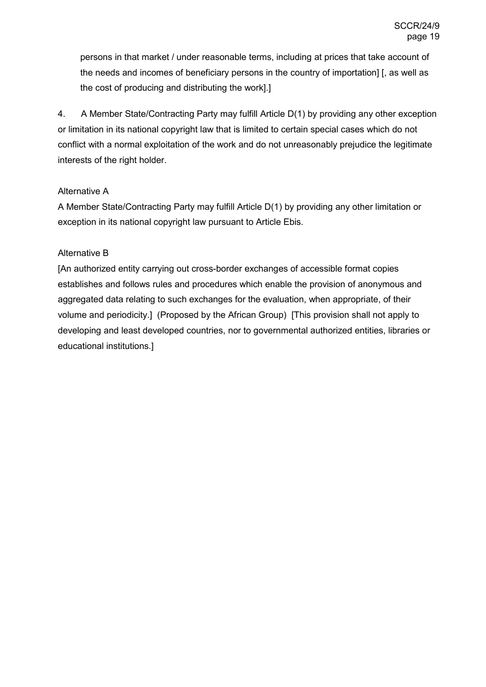persons in that market / under reasonable terms, including at prices that take account of the needs and incomes of beneficiary persons in the country of importation] [, as well as the cost of producing and distributing the work].]

4. A Member State/Contracting Party may fulfill Article D(1) by providing any other exception or limitation in its national copyright law that is limited to certain special cases which do not conflict with a normal exploitation of the work and do not unreasonably prejudice the legitimate interests of the right holder.

#### Alternative A

A Member State/Contracting Party may fulfill Article D(1) by providing any other limitation or exception in its national copyright law pursuant to Article Ebis.

#### Alternative B

[An authorized entity carrying out cross-border exchanges of accessible format copies establishes and follows rules and procedures which enable the provision of anonymous and aggregated data relating to such exchanges for the evaluation, when appropriate, of their volume and periodicity.] (Proposed by the African Group) [This provision shall not apply to developing and least developed countries, nor to governmental authorized entities, libraries or educational institutions.]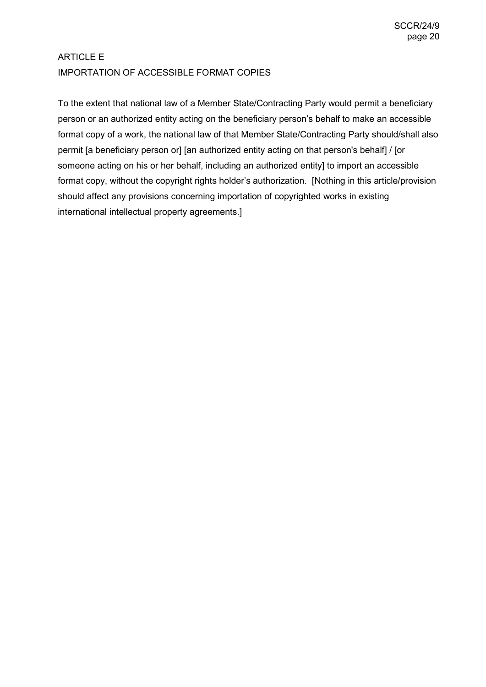# ARTICLE E IMPORTATION OF ACCESSIBLE FORMAT COPIES

To the extent that national law of a Member State/Contracting Party would permit a beneficiary person or an authorized entity acting on the beneficiary person's behalf to make an accessible format copy of a work, the national law of that Member State/Contracting Party should/shall also permit [a beneficiary person or] [an authorized entity acting on that person's behalf] / [or someone acting on his or her behalf, including an authorized entity] to import an accessible format copy, without the copyright rights holder's authorization. [Nothing in this article/provision should affect any provisions concerning importation of copyrighted works in existing international intellectual property agreements.]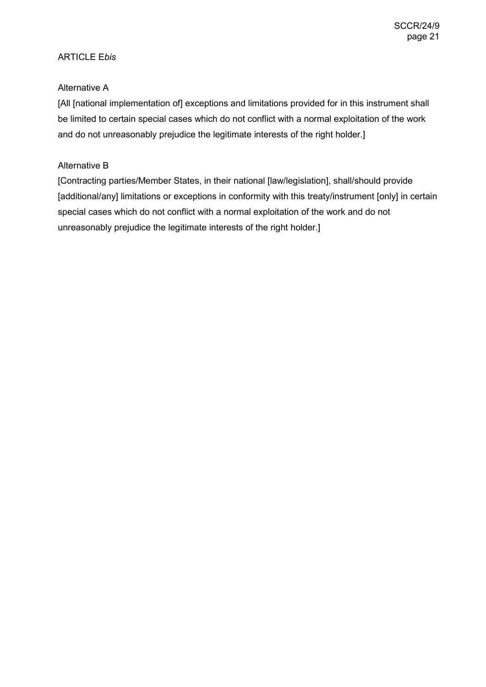#### ARTICLE E*bis*

#### Alternative A

[All [national implementation of] exceptions and limitations provided for in this instrument shall be limited to certain special cases which do not conflict with a normal exploitation of the work and do not unreasonably prejudice the legitimate interests of the right holder.]

#### Alternative B

[Contracting parties/Member States, in their national [law/legislation], shall/should provide [additional/any] limitations or exceptions in conformity with this treaty/instrument [only] in certain special cases which do not conflict with a normal exploitation of the work and do not unreasonably prejudice the legitimate interests of the right holder.]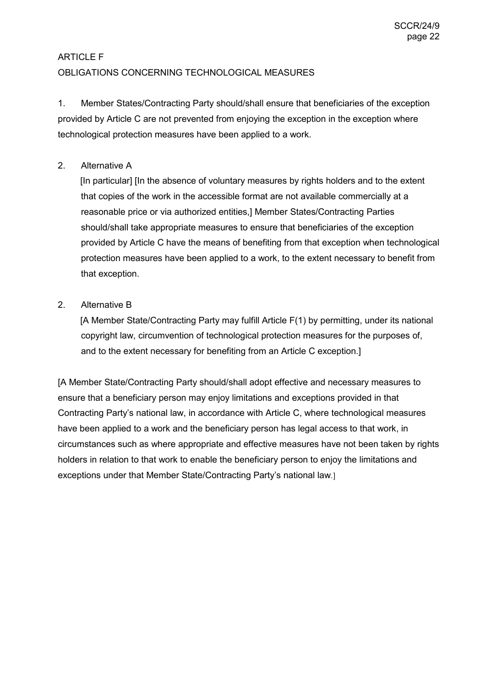### ARTICLE F OBLIGATIONS CONCERNING TECHNOLOGICAL MEASURES

1. Member States/Contracting Party should/shall ensure that beneficiaries of the exception provided by Article C are not prevented from enjoying the exception in the exception where technological protection measures have been applied to a work.

#### 2. Alternative A

[In particular] [In the absence of voluntary measures by rights holders and to the extent that copies of the work in the accessible format are not available commercially at a reasonable price or via authorized entities,] Member States/Contracting Parties should/shall take appropriate measures to ensure that beneficiaries of the exception provided by Article C have the means of benefiting from that exception when technological protection measures have been applied to a work, to the extent necessary to benefit from that exception.

#### 2. Alternative B

[A Member State/Contracting Party may fulfill Article F(1) by permitting, under its national copyright law, circumvention of technological protection measures for the purposes of, and to the extent necessary for benefiting from an Article C exception.]

[A Member State/Contracting Party should/shall adopt effective and necessary measures to ensure that a beneficiary person may enjoy limitations and exceptions provided in that Contracting Party's national law, in accordance with Article C, where technological measures have been applied to a work and the beneficiary person has legal access to that work, in circumstances such as where appropriate and effective measures have not been taken by rights holders in relation to that work to enable the beneficiary person to enjoy the limitations and exceptions under that Member State/Contracting Party's national law.]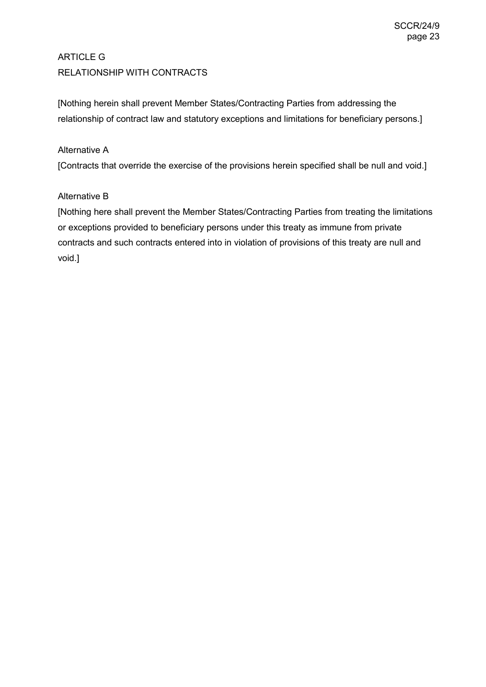# ARTICLE G RELATIONSHIP WITH CONTRACTS

[Nothing herein shall prevent Member States/Contracting Parties from addressing the relationship of contract law and statutory exceptions and limitations for beneficiary persons.]

#### Alternative A

[Contracts that override the exercise of the provisions herein specified shall be null and void.]

#### Alternative B

[Nothing here shall prevent the Member States/Contracting Parties from treating the limitations or exceptions provided to beneficiary persons under this treaty as immune from private contracts and such contracts entered into in violation of provisions of this treaty are null and void.]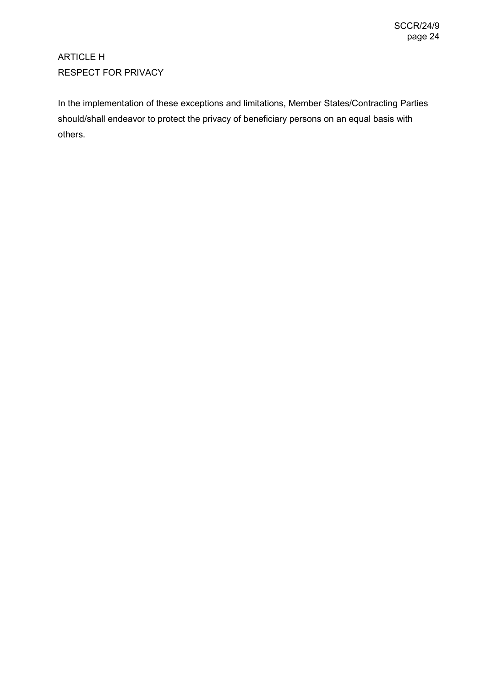# ARTICLE H RESPECT FOR PRIVACY

In the implementation of these exceptions and limitations, Member States/Contracting Parties should/shall endeavor to protect the privacy of beneficiary persons on an equal basis with others.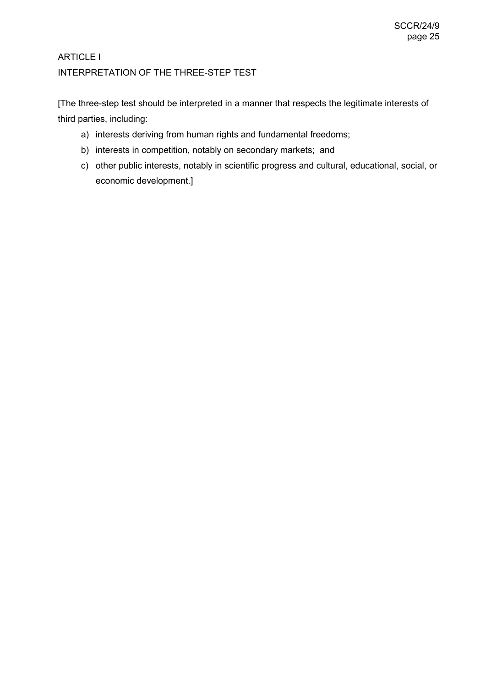### ARTICLE I INTERPRETATION OF THE THREE-STEP TEST

[The three-step test should be interpreted in a manner that respects the legitimate interests of third parties, including:

- a) interests deriving from human rights and fundamental freedoms;
- b) interests in competition, notably on secondary markets; and
- c) other public interests, notably in scientific progress and cultural, educational, social, or economic development.]